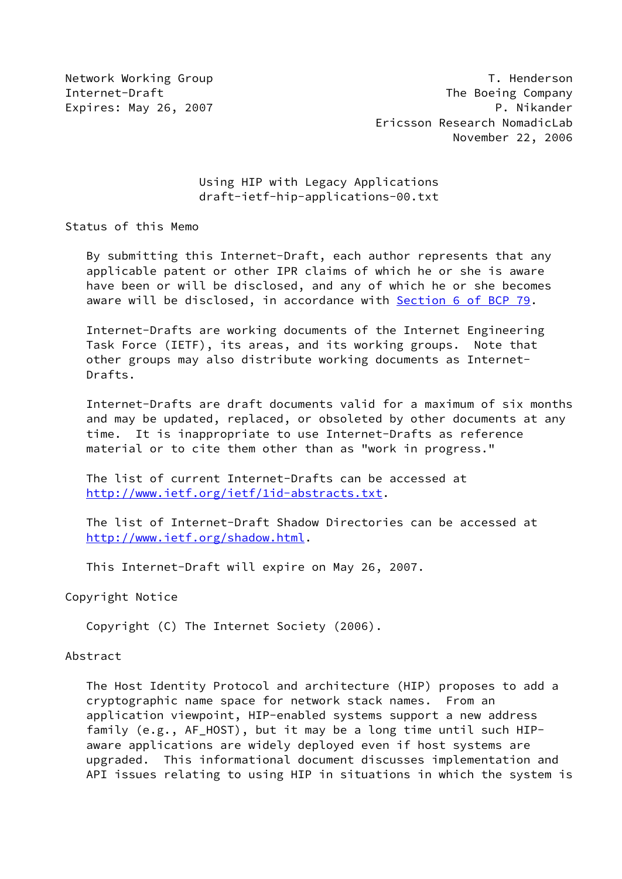# Using HIP with Legacy Applications draft-ietf-hip-applications-00.txt

Status of this Memo

 By submitting this Internet-Draft, each author represents that any applicable patent or other IPR claims of which he or she is aware have been or will be disclosed, and any of which he or she becomes aware will be disclosed, in accordance with Section [6 of BCP 79.](https://datatracker.ietf.org/doc/pdf/bcp79#section-6)

 Internet-Drafts are working documents of the Internet Engineering Task Force (IETF), its areas, and its working groups. Note that other groups may also distribute working documents as Internet- Drafts.

 Internet-Drafts are draft documents valid for a maximum of six months and may be updated, replaced, or obsoleted by other documents at any time. It is inappropriate to use Internet-Drafts as reference material or to cite them other than as "work in progress."

 The list of current Internet-Drafts can be accessed at <http://www.ietf.org/ietf/1id-abstracts.txt>.

 The list of Internet-Draft Shadow Directories can be accessed at <http://www.ietf.org/shadow.html>.

This Internet-Draft will expire on May 26, 2007.

Copyright Notice

Copyright (C) The Internet Society (2006).

## Abstract

 The Host Identity Protocol and architecture (HIP) proposes to add a cryptographic name space for network stack names. From an application viewpoint, HIP-enabled systems support a new address family (e.g., AF\_HOST), but it may be a long time until such HIP aware applications are widely deployed even if host systems are upgraded. This informational document discusses implementation and API issues relating to using HIP in situations in which the system is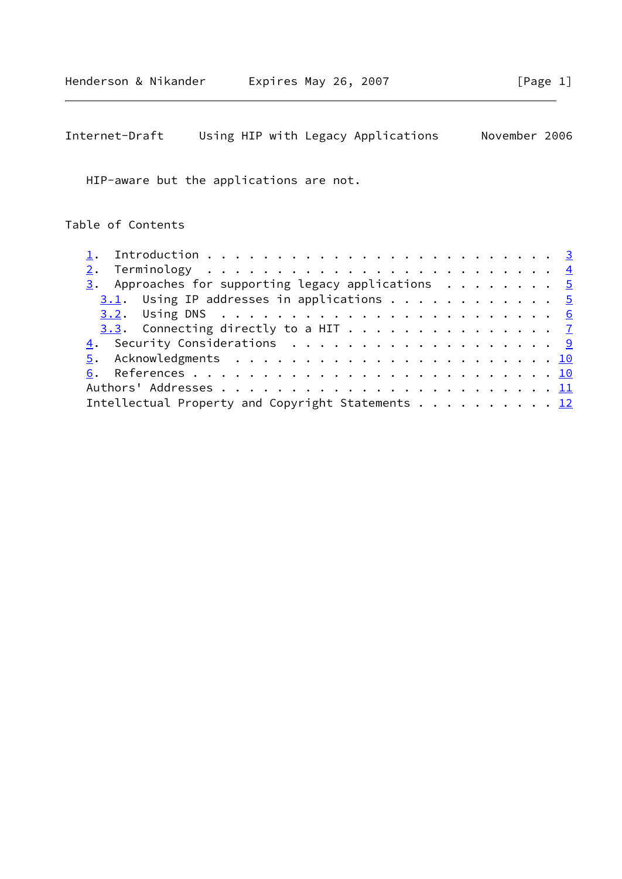HIP-aware but the applications are not.

Table of Contents

| $\frac{3}{2}$ . Approaches for supporting legacy applications 5 |  |
|-----------------------------------------------------------------|--|
| $3.1$ . Using IP addresses in applications 5                    |  |
|                                                                 |  |
| 3.3. Connecting directly to a HIT $\frac{7}{2}$                 |  |
| 4. Security Considerations 9                                    |  |
|                                                                 |  |
|                                                                 |  |
|                                                                 |  |
| Intellectual Property and Copyright Statements 12               |  |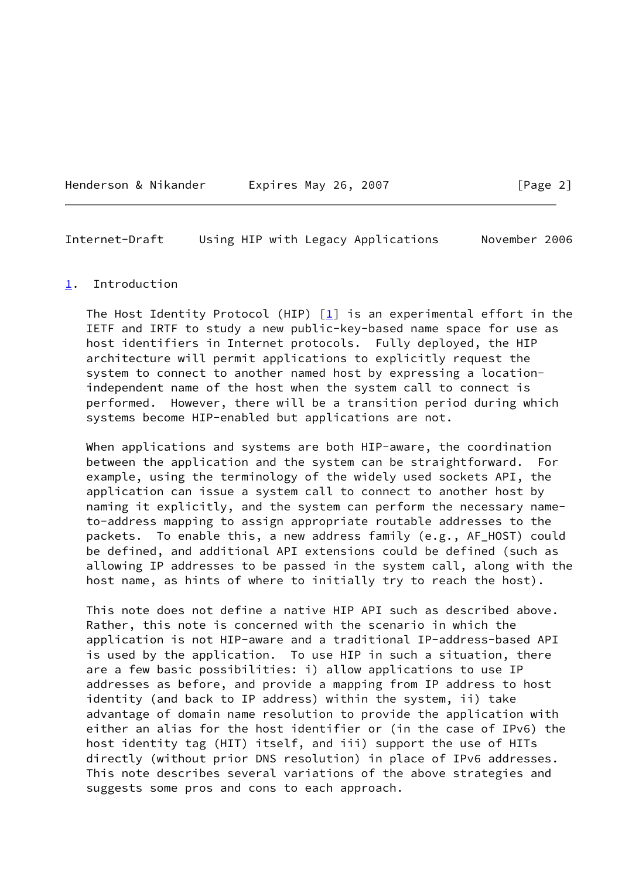| Expires May 26, 2007<br>Henderson & Nikander |  |  |  |
|----------------------------------------------|--|--|--|
|----------------------------------------------|--|--|--|

 $\lceil \text{Page 2} \rceil$ 

<span id="page-2-1"></span>Internet-Draft Using HIP with Legacy Applications November 2006

#### <span id="page-2-0"></span>[1](#page-2-0). Introduction

The Host Identity Protocol (HIP)  $[1]$  is an experimental effort in the IETF and IRTF to study a new public-key-based name space for use as host identifiers in Internet protocols. Fully deployed, the HIP architecture will permit applications to explicitly request the system to connect to another named host by expressing a location independent name of the host when the system call to connect is performed. However, there will be a transition period during which systems become HIP-enabled but applications are not.

 When applications and systems are both HIP-aware, the coordination between the application and the system can be straightforward. For example, using the terminology of the widely used sockets API, the application can issue a system call to connect to another host by naming it explicitly, and the system can perform the necessary name to-address mapping to assign appropriate routable addresses to the packets. To enable this, a new address family (e.g., AF\_HOST) could be defined, and additional API extensions could be defined (such as allowing IP addresses to be passed in the system call, along with the host name, as hints of where to initially try to reach the host).

 This note does not define a native HIP API such as described above. Rather, this note is concerned with the scenario in which the application is not HIP-aware and a traditional IP-address-based API is used by the application. To use HIP in such a situation, there are a few basic possibilities: i) allow applications to use IP addresses as before, and provide a mapping from IP address to host identity (and back to IP address) within the system, ii) take advantage of domain name resolution to provide the application with either an alias for the host identifier or (in the case of IPv6) the host identity tag (HIT) itself, and iii) support the use of HITs directly (without prior DNS resolution) in place of IPv6 addresses. This note describes several variations of the above strategies and suggests some pros and cons to each approach.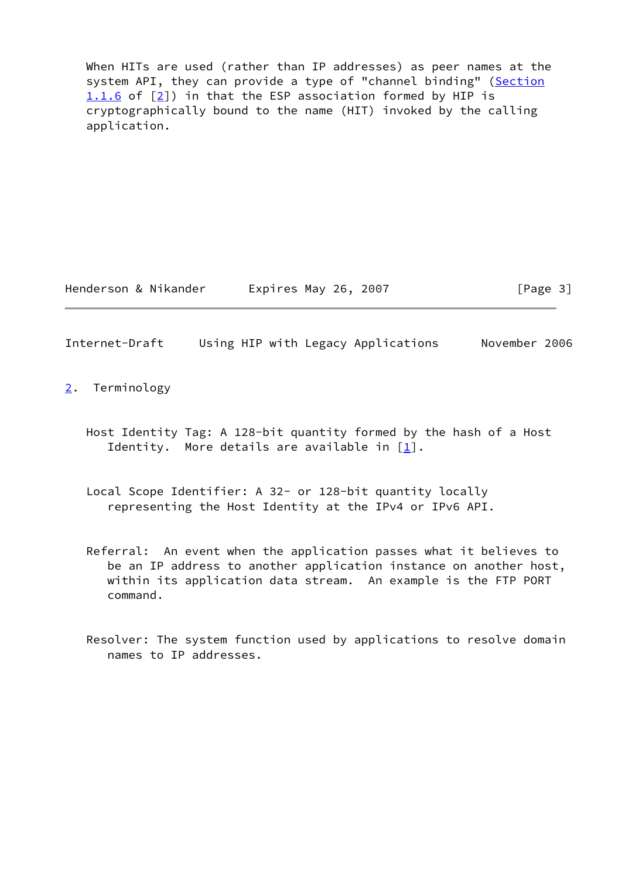When HITs are used (rather than IP addresses) as peer names at the system API, they can provide a type of "channel binding" (Section 1.1.6 of [\[2\]](#page-10-4)) in that the ESP association formed by HIP is cryptographically bound to the name (HIT) invoked by the calling application.

Henderson & Nikander Fxpires May 26, 2007 [Page 3]

<span id="page-3-1"></span>Internet-Draft Using HIP with Legacy Applications November 2006

<span id="page-3-0"></span>[2](#page-3-0). Terminology

- Host Identity Tag: A 128-bit quantity formed by the hash of a Host Identity. More details are available in [\[1](#page-10-3)].
- Local Scope Identifier: A 32- or 128-bit quantity locally representing the Host Identity at the IPv4 or IPv6 API.
- Referral: An event when the application passes what it believes to be an IP address to another application instance on another host, within its application data stream. An example is the FTP PORT command.
- Resolver: The system function used by applications to resolve domain names to IP addresses.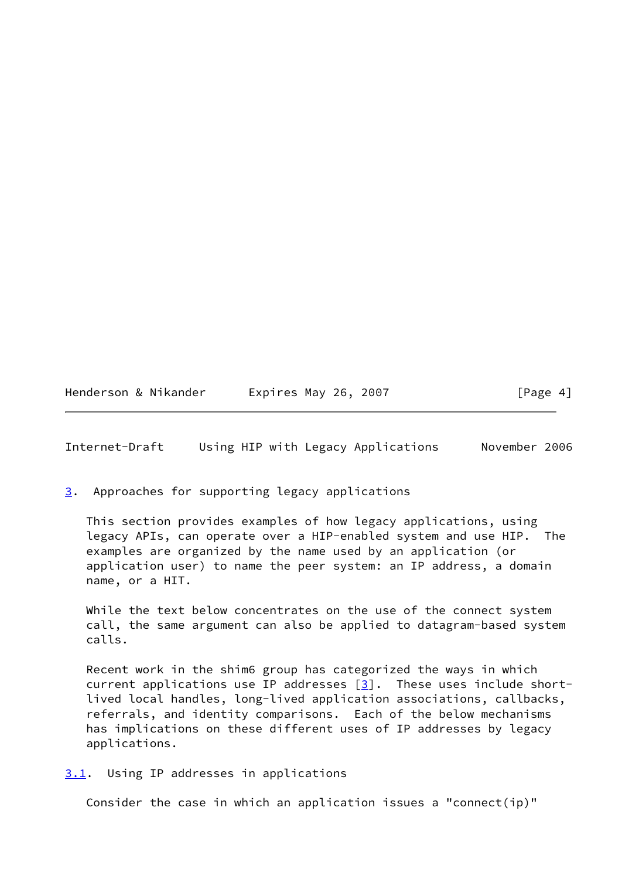Henderson & Nikander Expires May 26, 2007 [Page 4]

<span id="page-4-1"></span>Internet-Draft Using HIP with Legacy Applications November 2006

<span id="page-4-0"></span>[3](#page-4-0). Approaches for supporting legacy applications

 This section provides examples of how legacy applications, using legacy APIs, can operate over a HIP-enabled system and use HIP. The examples are organized by the name used by an application (or application user) to name the peer system: an IP address, a domain name, or a HIT.

 While the text below concentrates on the use of the connect system call, the same argument can also be applied to datagram-based system calls.

 Recent work in the shim6 group has categorized the ways in which current applications use IP addresses  $[3]$  $[3]$ . These uses include short lived local handles, long-lived application associations, callbacks, referrals, and identity comparisons. Each of the below mechanisms has implications on these different uses of IP addresses by legacy applications.

<span id="page-4-2"></span>[3.1](#page-4-2). Using IP addresses in applications

Consider the case in which an application issues a "connect(ip)"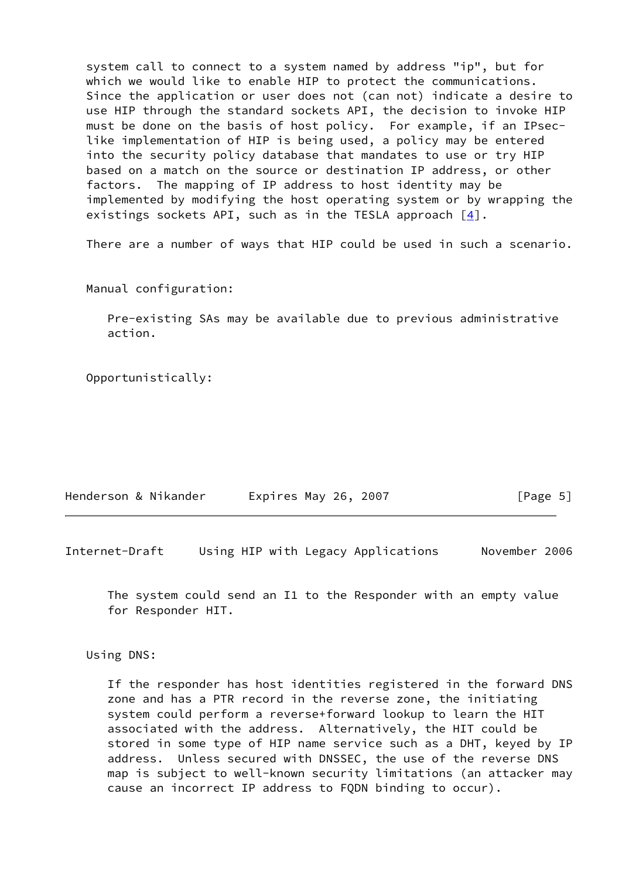system call to connect to a system named by address "ip", but for which we would like to enable HIP to protect the communications. Since the application or user does not (can not) indicate a desire to use HIP through the standard sockets API, the decision to invoke HIP must be done on the basis of host policy. For example, if an IPsec like implementation of HIP is being used, a policy may be entered into the security policy database that mandates to use or try HIP based on a match on the source or destination IP address, or other factors. The mapping of IP address to host identity may be implemented by modifying the host operating system or by wrapping the existings sockets API, such as in the TESLA approach  $\lceil 4 \rceil$ .

There are a number of ways that HIP could be used in such a scenario.

Manual configuration:

 Pre-existing SAs may be available due to previous administrative action.

Opportunistically:

| Henderson & Nikander | Expires May 26, 2007 | [Page 5] |  |
|----------------------|----------------------|----------|--|
|                      |                      |          |  |

<span id="page-5-0"></span>Internet-Draft Using HIP with Legacy Applications November 2006

 The system could send an I1 to the Responder with an empty value for Responder HIT.

Using DNS:

 If the responder has host identities registered in the forward DNS zone and has a PTR record in the reverse zone, the initiating system could perform a reverse+forward lookup to learn the HIT associated with the address. Alternatively, the HIT could be stored in some type of HIP name service such as a DHT, keyed by IP address. Unless secured with DNSSEC, the use of the reverse DNS map is subject to well-known security limitations (an attacker may cause an incorrect IP address to FQDN binding to occur).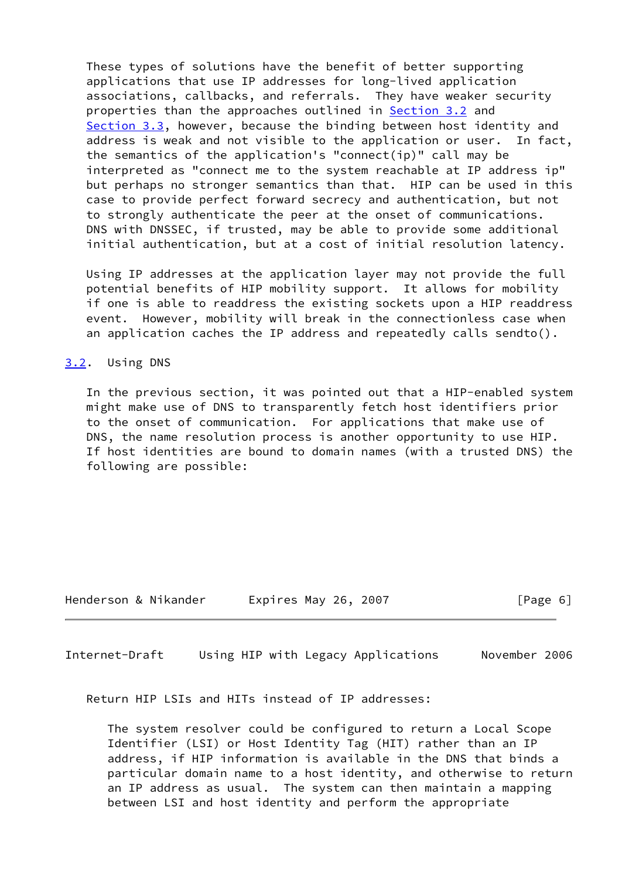These types of solutions have the benefit of better supporting applications that use IP addresses for long-lived application associations, callbacks, and referrals. They have weaker security properties than the approaches outlined in **[Section 3.2](#page-6-0)** and [Section 3.3](#page-7-0), however, because the binding between host identity and address is weak and not visible to the application or user. In fact, the semantics of the application's "connect(ip)" call may be interpreted as "connect me to the system reachable at IP address ip" but perhaps no stronger semantics than that. HIP can be used in this case to provide perfect forward secrecy and authentication, but not to strongly authenticate the peer at the onset of communications. DNS with DNSSEC, if trusted, may be able to provide some additional initial authentication, but at a cost of initial resolution latency.

 Using IP addresses at the application layer may not provide the full potential benefits of HIP mobility support. It allows for mobility if one is able to readdress the existing sockets upon a HIP readdress event. However, mobility will break in the connectionless case when an application caches the IP address and repeatedly calls sendto().

### <span id="page-6-0"></span>[3.2](#page-6-0). Using DNS

 In the previous section, it was pointed out that a HIP-enabled system might make use of DNS to transparently fetch host identifiers prior to the onset of communication. For applications that make use of DNS, the name resolution process is another opportunity to use HIP. If host identities are bound to domain names (with a trusted DNS) the following are possible:

Henderson & Nikander Expires May 26, 2007 [Page 6]

<span id="page-6-1"></span>Internet-Draft Using HIP with Legacy Applications November 2006

Return HIP LSIs and HITs instead of IP addresses:

 The system resolver could be configured to return a Local Scope Identifier (LSI) or Host Identity Tag (HIT) rather than an IP address, if HIP information is available in the DNS that binds a particular domain name to a host identity, and otherwise to return an IP address as usual. The system can then maintain a mapping between LSI and host identity and perform the appropriate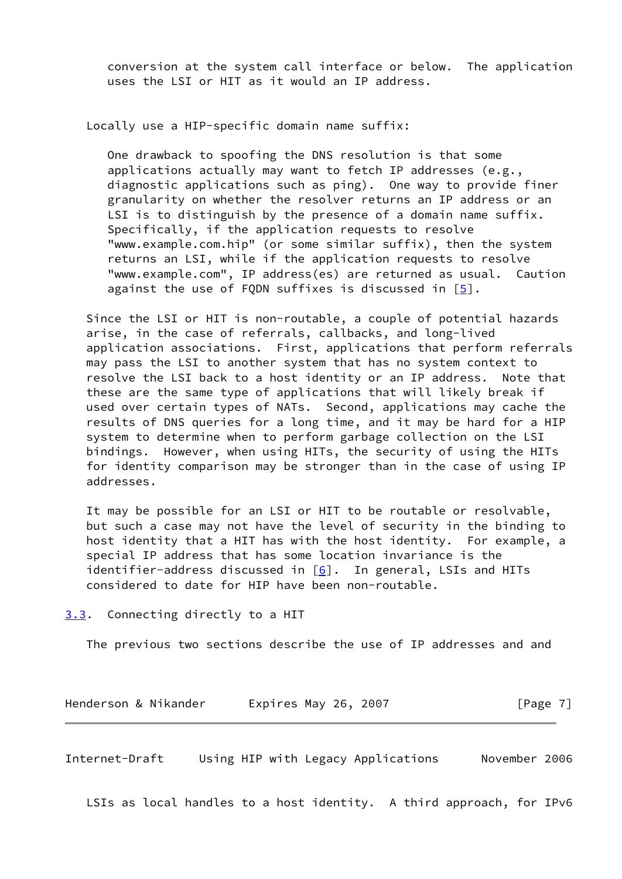conversion at the system call interface or below. The application uses the LSI or HIT as it would an IP address.

Locally use a HIP-specific domain name suffix:

 One drawback to spoofing the DNS resolution is that some applications actually may want to fetch IP addresses (e.g., diagnostic applications such as ping). One way to provide finer granularity on whether the resolver returns an IP address or an LSI is to distinguish by the presence of a domain name suffix. Specifically, if the application requests to resolve "www.example.com.hip" (or some similar suffix), then the system returns an LSI, while if the application requests to resolve "www.example.com", IP address(es) are returned as usual. Caution against the use of FQDN suffixes is discussed in [\[5](#page-10-7)].

 Since the LSI or HIT is non-routable, a couple of potential hazards arise, in the case of referrals, callbacks, and long-lived application associations. First, applications that perform referrals may pass the LSI to another system that has no system context to resolve the LSI back to a host identity or an IP address. Note that these are the same type of applications that will likely break if used over certain types of NATs. Second, applications may cache the results of DNS queries for a long time, and it may be hard for a HIP system to determine when to perform garbage collection on the LSI bindings. However, when using HITs, the security of using the HITs for identity comparison may be stronger than in the case of using IP addresses.

 It may be possible for an LSI or HIT to be routable or resolvable, but such a case may not have the level of security in the binding to host identity that a HIT has with the host identity. For example, a special IP address that has some location invariance is the identifier-address discussed in [\[6](#page-10-8)]. In general, LSIs and HITs considered to date for HIP have been non-routable.

<span id="page-7-0"></span>[3.3](#page-7-0). Connecting directly to a HIT

The previous two sections describe the use of IP addresses and and

| Henderson & Nikander | Expires May 26, 2007 | [Page 7] |
|----------------------|----------------------|----------|
|----------------------|----------------------|----------|

Internet-Draft Using HIP with Legacy Applications November 2006

LSIs as local handles to a host identity. A third approach, for IPv6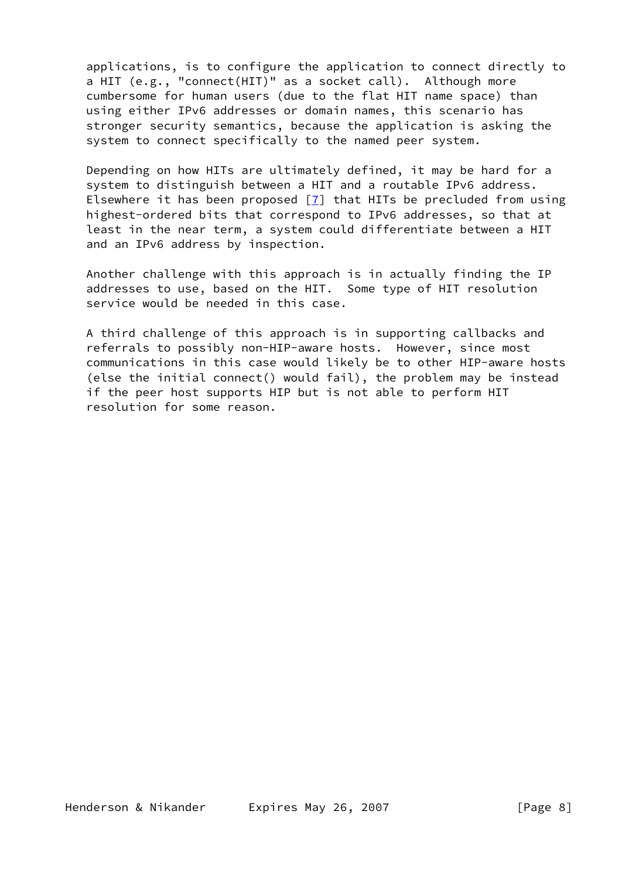applications, is to configure the application to connect directly to a HIT (e.g., "connect(HIT)" as a socket call). Although more cumbersome for human users (due to the flat HIT name space) than using either IPv6 addresses or domain names, this scenario has stronger security semantics, because the application is asking the system to connect specifically to the named peer system.

 Depending on how HITs are ultimately defined, it may be hard for a system to distinguish between a HIT and a routable IPv6 address. Elsewhere it has been proposed  $[7]$  $[7]$  that HITs be precluded from using highest-ordered bits that correspond to IPv6 addresses, so that at least in the near term, a system could differentiate between a HIT and an IPv6 address by inspection.

 Another challenge with this approach is in actually finding the IP addresses to use, based on the HIT. Some type of HIT resolution service would be needed in this case.

 A third challenge of this approach is in supporting callbacks and referrals to possibly non-HIP-aware hosts. However, since most communications in this case would likely be to other HIP-aware hosts (else the initial connect() would fail), the problem may be instead if the peer host supports HIP but is not able to perform HIT resolution for some reason.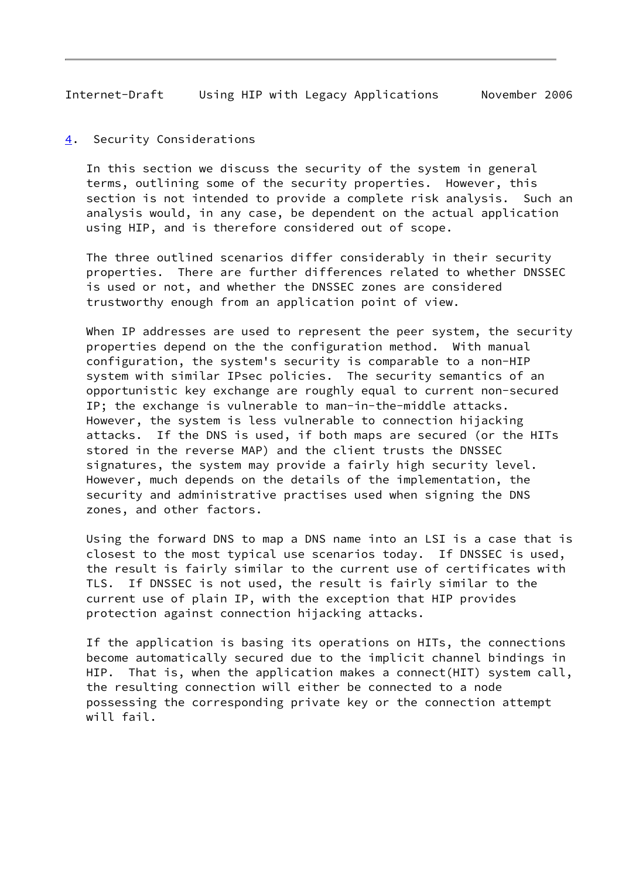<span id="page-9-1"></span><span id="page-9-0"></span>[4](#page-9-0). Security Considerations

 In this section we discuss the security of the system in general terms, outlining some of the security properties. However, this section is not intended to provide a complete risk analysis. Such an analysis would, in any case, be dependent on the actual application using HIP, and is therefore considered out of scope.

 The three outlined scenarios differ considerably in their security properties. There are further differences related to whether DNSSEC is used or not, and whether the DNSSEC zones are considered trustworthy enough from an application point of view.

 When IP addresses are used to represent the peer system, the security properties depend on the the configuration method. With manual configuration, the system's security is comparable to a non-HIP system with similar IPsec policies. The security semantics of an opportunistic key exchange are roughly equal to current non-secured IP; the exchange is vulnerable to man-in-the-middle attacks. However, the system is less vulnerable to connection hijacking attacks. If the DNS is used, if both maps are secured (or the HITs stored in the reverse MAP) and the client trusts the DNSSEC signatures, the system may provide a fairly high security level. However, much depends on the details of the implementation, the security and administrative practises used when signing the DNS zones, and other factors.

 Using the forward DNS to map a DNS name into an LSI is a case that is closest to the most typical use scenarios today. If DNSSEC is used, the result is fairly similar to the current use of certificates with TLS. If DNSSEC is not used, the result is fairly similar to the current use of plain IP, with the exception that HIP provides protection against connection hijacking attacks.

 If the application is basing its operations on HITs, the connections become automatically secured due to the implicit channel bindings in HIP. That is, when the application makes a connect(HIT) system call, the resulting connection will either be connected to a node possessing the corresponding private key or the connection attempt will fail.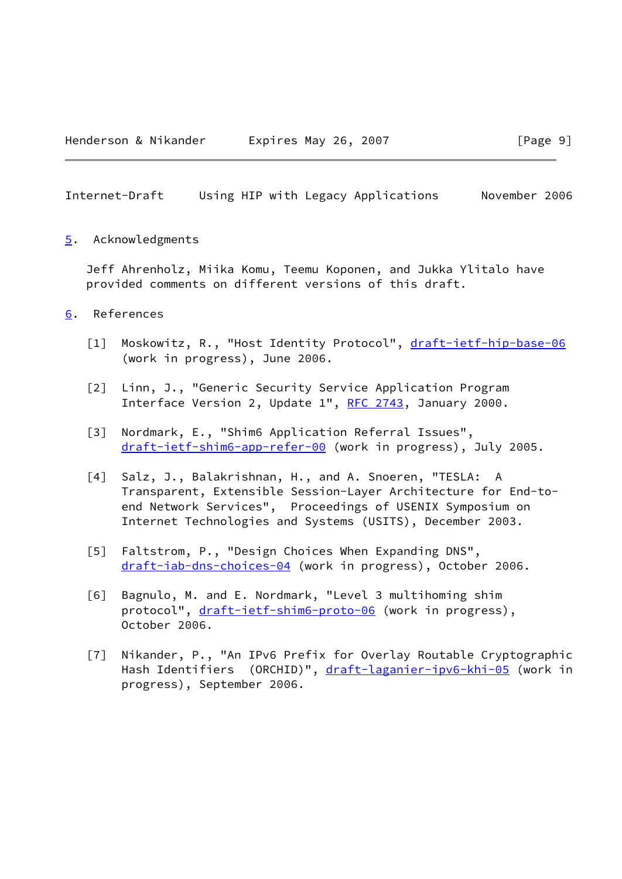<span id="page-10-1"></span><span id="page-10-0"></span>[5](#page-10-0). Acknowledgments

 Jeff Ahrenholz, Miika Komu, Teemu Koponen, and Jukka Ylitalo have provided comments on different versions of this draft.

- <span id="page-10-9"></span><span id="page-10-8"></span><span id="page-10-7"></span><span id="page-10-6"></span><span id="page-10-5"></span><span id="page-10-4"></span><span id="page-10-3"></span><span id="page-10-2"></span>[6](#page-10-2). References
	- [1] Moskowitz, R., "Host Identity Protocol", [draft-ietf-hip-base-06](https://datatracker.ietf.org/doc/pdf/draft-ietf-hip-base-06) (work in progress), June 2006.
	- [2] Linn, J., "Generic Security Service Application Program Interface Version 2, Update 1", [RFC 2743](https://datatracker.ietf.org/doc/pdf/rfc2743), January 2000.
	- [3] Nordmark, E., "Shim6 Application Referral Issues", [draft-ietf-shim6-app-refer-00](https://datatracker.ietf.org/doc/pdf/draft-ietf-shim6-app-refer-00) (work in progress), July 2005.
	- [4] Salz, J., Balakrishnan, H., and A. Snoeren, "TESLA: A Transparent, Extensible Session-Layer Architecture for End-to end Network Services", Proceedings of USENIX Symposium on Internet Technologies and Systems (USITS), December 2003.
	- [5] Faltstrom, P., "Design Choices When Expanding DNS", [draft-iab-dns-choices-04](https://datatracker.ietf.org/doc/pdf/draft-iab-dns-choices-04) (work in progress), October 2006.
	- [6] Bagnulo, M. and E. Nordmark, "Level 3 multihoming shim protocol", [draft-ietf-shim6-proto-06](https://datatracker.ietf.org/doc/pdf/draft-ietf-shim6-proto-06) (work in progress), October 2006.
	- [7] Nikander, P., "An IPv6 Prefix for Overlay Routable Cryptographic Hash Identifiers (ORCHID)", [draft-laganier-ipv6-khi-05](https://datatracker.ietf.org/doc/pdf/draft-laganier-ipv6-khi-05) (work in progress), September 2006.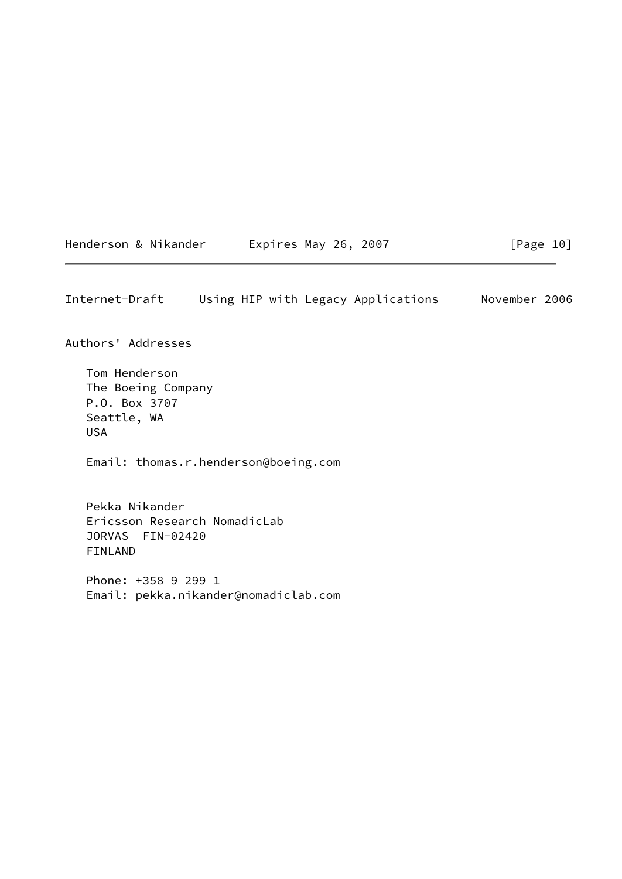<span id="page-11-0"></span>

 $[Page 10]$ 

Authors' Addresses

 Tom Henderson The Boeing Company P.O. Box 3707 Seattle, WA USA

Email: thomas.r.henderson@boeing.com

 Pekka Nikander Ericsson Research NomadicLab JORVAS FIN-02420 FINLAND

 Phone: +358 9 299 1 Email: pekka.nikander@nomadiclab.com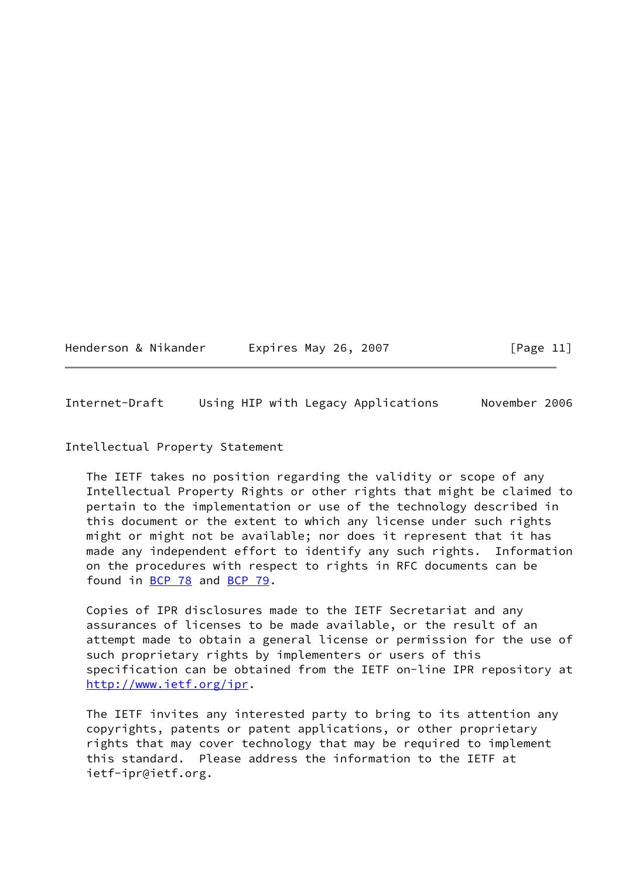| Henderson & Nikander |  |  |  |
|----------------------|--|--|--|
|----------------------|--|--|--|

Expires May 26, 2007  $[Page 11]$ 

<span id="page-12-0"></span>Internet-Draft Using HIP with Legacy Applications November 2006

# Intellectual Property Statement

 The IETF takes no position regarding the validity or scope of any Intellectual Property Rights or other rights that might be claimed to pertain to the implementation or use of the technology described in this document or the extent to which any license under such rights might or might not be available; nor does it represent that it has made any independent effort to identify any such rights. Information on the procedures with respect to rights in RFC documents can be found in [BCP 78](https://datatracker.ietf.org/doc/pdf/bcp78) and [BCP 79](https://datatracker.ietf.org/doc/pdf/bcp79).

 Copies of IPR disclosures made to the IETF Secretariat and any assurances of licenses to be made available, or the result of an attempt made to obtain a general license or permission for the use of such proprietary rights by implementers or users of this specification can be obtained from the IETF on-line IPR repository at <http://www.ietf.org/ipr>.

 The IETF invites any interested party to bring to its attention any copyrights, patents or patent applications, or other proprietary rights that may cover technology that may be required to implement this standard. Please address the information to the IETF at ietf-ipr@ietf.org.